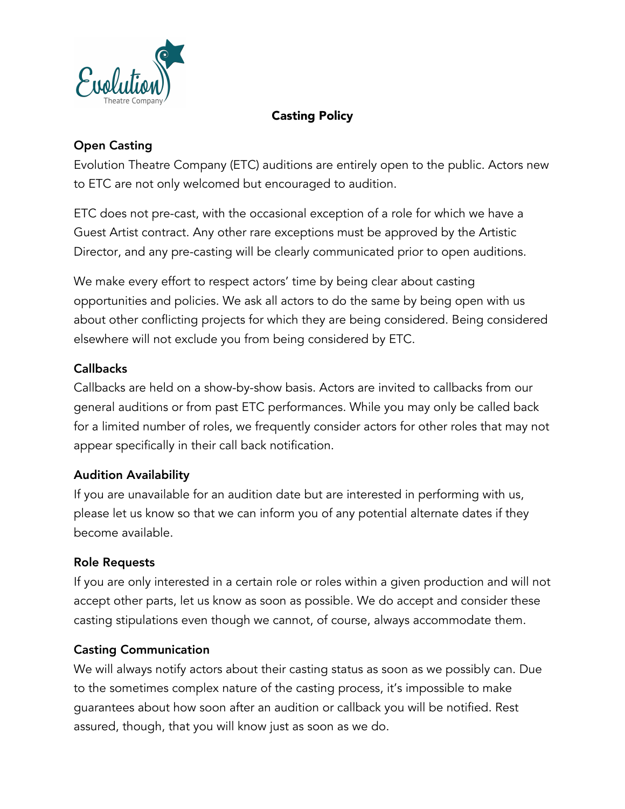

### Casting Policy

# Open Casting

Evolution Theatre Company (ETC) auditions are entirely open to the public. Actors new to ETC are not only welcomed but encouraged to audition.

ETC does not pre-cast, with the occasional exception of a role for which we have a Guest Artist contract. Any other rare exceptions must be approved by the Artistic Director, and any pre-casting will be clearly communicated prior to open auditions.

We make every effort to respect actors' time by being clear about casting opportunities and policies. We ask all actors to do the same by being open with us about other conflicting projects for which they are being considered. Being considered elsewhere will not exclude you from being considered by ETC.

### **Callbacks**

Callbacks are held on a show-by-show basis. Actors are invited to callbacks from our general auditions or from past ETC performances. While you may only be called back for a limited number of roles, we frequently consider actors for other roles that may not appear specifically in their call back notification.

### Audition Availability

If you are unavailable for an audition date but are interested in performing with us, please let us know so that we can inform you of any potential alternate dates if they become available.

#### Role Requests

If you are only interested in a certain role or roles within a given production and will not accept other parts, let us know as soon as possible. We do accept and consider these casting stipulations even though we cannot, of course, always accommodate them.

#### Casting Communication

We will always notify actors about their casting status as soon as we possibly can. Due to the sometimes complex nature of the casting process, it's impossible to make guarantees about how soon after an audition or callback you will be notified. Rest assured, though, that you will know just as soon as we do.